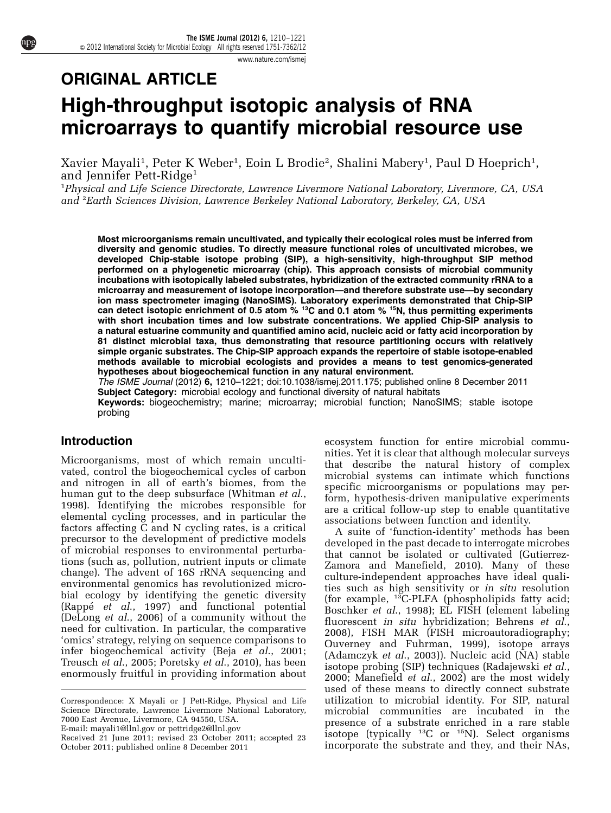[www.nature.com/ismej](http://www.nature.com/ismej)

# ORIGINAL ARTICLE High-throughput isotopic analysis of RNA microarrays to quantify microbial resource use

Xavier Mayali<sup>1</sup>, Peter K Weber<sup>1</sup>, Eoin L Brodie<sup>2</sup>, Shalini Mabery<sup>1</sup>, Paul D Hoeprich<sup>1</sup>, and Jennifer Pett-Ridge<sup>1</sup>

<sup>1</sup>Physical and Life Science Directorate, Lawrence Livermore National Laboratory, Livermore, CA, USA and <sup>2</sup>Earth Sciences Division, Lawrence Berkeley National Laboratory, Berkeley, CA, USA

Most microorganisms remain uncultivated, and typically their ecological roles must be inferred from diversity and genomic studies. To directly measure functional roles of uncultivated microbes, we developed Chip-stable isotope probing (SIP), a high-sensitivity, high-throughput SIP method performed on a phylogenetic microarray (chip). This approach consists of microbial community incubations with isotopically labeled substrates, hybridization of the extracted community rRNA to a microarray and measurement of isotope incorporation—and therefore substrate use—by secondary ion mass spectrometer imaging (NanoSIMS). Laboratory experiments demonstrated that Chip-SIP can detect isotopic enrichment of 0.5 atom % <sup>13</sup>C and 0.1 atom % <sup>15</sup>N, thus permitting experiments with short incubation times and low substrate concentrations. We applied Chip-SIP analysis to a natural estuarine community and quantified amino acid, nucleic acid or fatty acid incorporation by 81 distinct microbial taxa, thus demonstrating that resource partitioning occurs with relatively simple organic substrates. The Chip-SIP approach expands the repertoire of stable isotope-enabled methods available to microbial ecologists and provides a means to test genomics-generated hypotheses about biogeochemical function in any natural environment.

The ISME Journal (2012) 6, 1210–1221; doi:[10.1038/ismej.2011.175;](http://dx.doi.org/10.1038/ismej.2011.175) published online 8 December 2011 Subject Category: microbial ecology and functional diversity of natural habitats Keywords: biogeochemistry; marine; microarray; microbial function; NanoSIMS; stable isotope probing

## Introduction

Microorganisms, most of which remain uncultivated, control the biogeochemical cycles of carbon and nitrogen in all of earth's biomes, from the human gut to the deep subsurface ([Whitman](#page-11-0) et al., [1998\)](#page-11-0). Identifying the microbes responsible for elemental cycling processes, and in particular the factors affecting C and N cycling rates, is a critical precursor to the development of predictive models of microbial responses to environmental perturbations (such as, pollution, nutrient inputs or climate change). The advent of 16S rRNA sequencing and environmental genomics has revolutionized microbial ecology by identifying the genetic diversity (Rappé et al[., 1997\)](#page-10-0) and functional potential ([DeLong](#page-10-0) et al., 2006) of a community without the need for cultivation. In particular, the comparative 'omics' strategy, relying on sequence comparisons to infer biogeochemical activity (Beja et al[., 2001;](#page-10-0) [Treusch](#page-11-0) et al., 2005; [Poretsky](#page-10-0) et al., 2010), has been enormously fruitful in providing information about

E-mail: [mayali1@llnl.gov](mailto:mayali1@llnl.gov) or [pettridge2@llnl.gov](mailto:pettridge2@llnl.gov)

ecosystem function for entire microbial communities. Yet it is clear that although molecular surveys that describe the natural history of complex microbial systems can intimate which functions specific microorganisms or populations may perform, hypothesis-driven manipulative experiments are a critical follow-up step to enable quantitative associations between function and identity.

A suite of 'function-identity' methods has been developed in the past decade to interrogate microbes that cannot be isolated or cultivated ([Gutierrez-](#page-10-0)[Zamora and Manefield, 2010](#page-10-0)). Many of these culture-independent approaches have ideal qualities such as high sensitivity or in situ resolution (for example, <sup>13</sup>C-PLFA (phospholipids fatty acid; [Boschker](#page-10-0) et al., 1998); EL FISH (element labeling fluorescent in situ hybridization; [Behrens](#page-9-0) et al., [2008\)](#page-9-0), FISH MAR (FISH microautoradiography; [Ouverney and Fuhrman, 1999](#page-10-0)), isotope arrays ([Adamczyk](#page-9-0) et al., 2003)). Nucleic acid (NA) stable isotope probing (SIP) techniques [\(Radajewski](#page-10-0) et al., [2000; Manefield](#page-10-0) et al., 2002) are the most widely used of these means to directly connect substrate utilization to microbial identity. For SIP, natural microbial communities are incubated in the presence of a substrate enriched in a rare stable isotope (typically  $^{13}$ C or  $^{15}$ N). Select organisms Received 21 June 2011; revised 23 October 2011; accepted 23 **ISOLOPE** (typically <sup>13</sup>C or <sup>13</sup>N). Select organisms October 2011; published online 8 December 2011

Correspondence: X Mayali or J Pett-Ridge, Physical and Life Science Directorate, Lawrence Livermore National Laboratory, 7000 East Avenue, Livermore, CA 94550, USA.

October 2011; published online 8 December 2011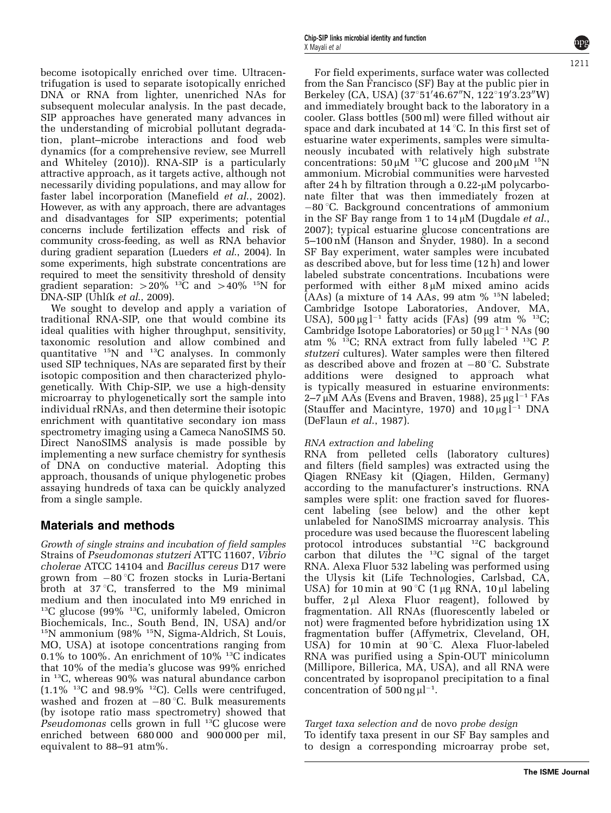become isotopically enriched over time. Ultracentrifugation is used to separate isotopically enriched DNA or RNA from lighter, unenriched NAs for subsequent molecular analysis. In the past decade, SIP approaches have generated many advances in the understanding of microbial pollutant degradation, plant–microbe interactions and food web dynamics (for a comprehensive review, see [Murrell](#page-10-0) [and Whiteley \(2010\)\)](#page-10-0). RNA-SIP is a particularly attractive approach, as it targets active, although not necessarily dividing populations, and may allow for faster label incorporation [\(Manefield](#page-10-0) et al., 2002). However, as with any approach, there are advantages and disadvantages for SIP experiments; potential concerns include fertilization effects and risk of community cross-feeding, as well as RNA behavior during gradient separation ([Lueders](#page-10-0) et al., 2004). In some experiments, high substrate concentrations are required to meet the sensitivity threshold of density gradient separation:  $>20\%$  <sup>13</sup>C and  $>40\%$  <sup>15</sup>N for  $\overline{DNA-SIP}$  (Uhlík et al[., 2009](#page-11-0)).

We sought to develop and apply a variation of traditional RNA-SIP, one that would combine its ideal qualities with higher throughput, sensitivity, taxonomic resolution and allow combined and quantitative 15N and 13C analyses. In commonly used SIP techniques, NAs are separated first by their isotopic composition and then characterized phylogenetically. With Chip-SIP, we use a high-density microarray to phylogenetically sort the sample into individual rRNAs, and then determine their isotopic enrichment with quantitative secondary ion mass spectrometry imaging using a Cameca NanoSIMS 50. Direct NanoSIMS analysis is made possible by implementing a new surface chemistry for synthesis of DNA on conductive material. Adopting this approach, thousands of unique phylogenetic probes assaying hundreds of taxa can be quickly analyzed from a single sample.

# Materials and methods

Growth of single strains and incubation of field samples Strains of Pseudomonas stutzeri ATTC 11607, Vibrio cholerae ATCC 14104 and Bacillus cereus D17 were grown from –80 °C frozen stocks in Luria-Bertani broth at  $37^{\circ}$ C, transferred to the M9 minimal medium and then inoculated into M9 enriched in 13C glucose (99% 13C, uniformly labeled, Omicron Biochemicals, Inc., South Bend, IN, USA) and/or <sup>15</sup>N ammonium (98%<sup>15</sup>N, Sigma-Aldrich, St Louis, MO, USA) at isotope concentrations ranging from 0.1% to 100%. An enrichment of 10%  $^{13}$ C indicates that 10% of the media's glucose was 99% enriched in 13C, whereas 90% was natural abundance carbon  $(1.1\%$  <sup>13</sup>C and 98.9% <sup>12</sup>C). Cells were centrifuged, washed and frozen at  $-80$  °C. Bulk measurements (by isotope ratio mass spectrometry) showed that Pseudomonas cells grown in full  $13C$  glucose were enriched between 680 000 and 900 000 per mil, equivalent to 88–91 atm%.

For field experiments, surface water was collected from the San Francisco (SF) Bay at the public pier in Berkeley (CA, USA) (37°51'46.67"N, 122°19'3.23"W) and immediately brought back to the laboratory in a cooler. Glass bottles (500 ml) were filled without air space and dark incubated at 14  $^{\circ}$ C. In this first set of estuarine water experiments, samples were simultaneously incubated with relatively high substrate concentrations:  $50 \mu M$ <sup>13</sup>C glucose and  $200 \mu M$ <sup>15</sup>N ammonium. Microbial communities were harvested after 24 h by filtration through a  $0.22$ - $\mu$ M polycarbonate filter that was then immediately frozen at -80 °C. Background concentrations of ammonium in the SF Bay range from 1 to  $14 \mu M$  [\(Dugdale](#page-10-0) *et al.*, [2007\)](#page-10-0); typical estuarine glucose concentrations are 5–100 nM ([Hanson and Snyder, 1980\)](#page-10-0). In a second SF Bay experiment, water samples were incubated as described above, but for less time (12 h) and lower labeled substrate concentrations. Incubations were performed with either  $8 \mu M$  mixed amino acids  $(AAs)$  (a mixture of 14 AAs, 99 atm  $%$  <sup>15</sup>N labeled; Cambridge Isotope Laboratories, Andover, MA, USA),  $500 \,\mu g \,$ l<sup>-1</sup> fatty acids (FAs) (99 atm % <sup>13</sup>C; Cambridge Isotope Laboratories) or  $50 \,\mathrm{\upmu g}\,\mathrm{l}^{-1}$  NAs (90 atm  $%$  <sup>13</sup>C; RNA extract from fully labeled <sup>13</sup>C *P*. stutzeri cultures). Water samples were then filtered as described above and frozen at  $-80^{\circ}$ C. Substrate additions were designed to approach what is typically measured in estuarine environments: 2–7  $\mu$ M AAs ([Evens and Braven, 1988\)](#page-10-0), 25  $\mu$ g l<sup>-1</sup> FAs [\(Stauffer and Macintyre, 1970](#page-11-0)) and  $10 \mu g I^{-1}$  DNA [\(DeFlaun](#page-10-0) et al., 1987).

## RNA extraction and labeling

RNA from pelleted cells (laboratory cultures) and filters (field samples) was extracted using the Qiagen RNEasy kit (Qiagen, Hilden, Germany) according to the manufacturer's instructions. RNA samples were split: one fraction saved for fluorescent labeling (see below) and the other kept unlabeled for NanoSIMS microarray analysis. This procedure was used because the fluorescent labeling protocol introduces substantial 12C background carbon that dilutes the  $^{13}C$  signal of the target RNA. Alexa Fluor 532 labeling was performed using the Ulysis kit (Life Technologies, Carlsbad, CA, USA) for 10 min at 90 °C (1  $\mu$ g RNA, 10  $\mu$ l labeling buffer,  $2 \mu l$  Alexa Fluor reagent), followed by fragmentation. All RNAs (fluorescently labeled or not) were fragmented before hybridization using 1X fragmentation buffer (Affymetrix, Cleveland, OH, USA) for 10 min at  $90^{\circ}$ C. Alexa Fluor-labeled RNA was purified using a Spin-OUT minicolumn (Millipore, Billerica, MA, USA), and all RNA were concentrated by isopropanol precipitation to a final concentration of  $500$  ng  $\mu$ l<sup>-1</sup>.

Target taxa selection and de novo probe design To identify taxa present in our SF Bay samples and to design a corresponding microarray probe set,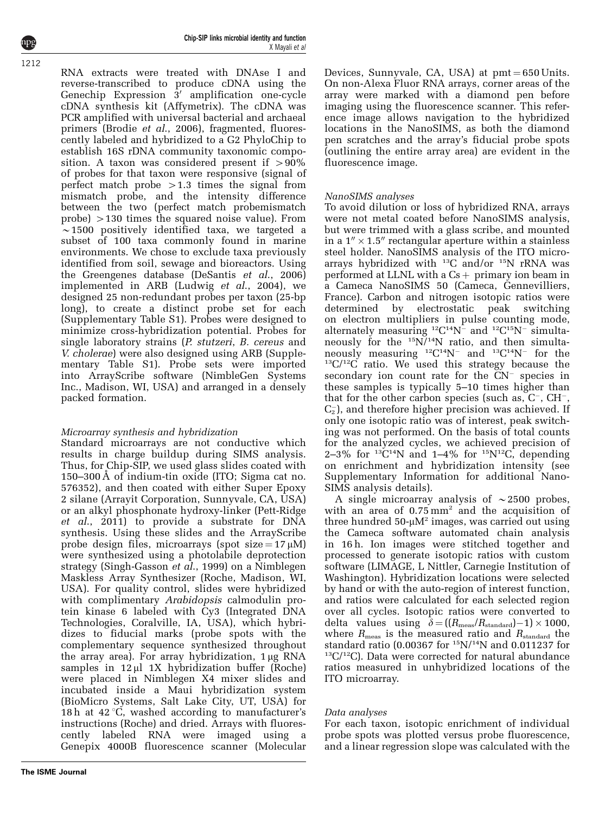RNA extracts were treated with DNAse I and reverse-transcribed to produce cDNA using the Genechip Expression  $3'$  amplification one-cycle cDNA synthesis kit (Affymetrix). The cDNA was PCR amplified with universal bacterial and archaeal primers (Brodie et al[., 2006](#page-10-0)), fragmented, fluorescently labeled and hybridized to a G2 PhyloChip to establish 16S rDNA community taxonomic composition. A taxon was considered present if  $>90\%$ of probes for that taxon were responsive (signal of perfect match probe  $>1.3$  times the signal from mismatch probe, and the intensity difference between the two (perfect match probemismatch probe)  $>130$  times the squared noise value). From  $\sim$ 1500 positively identified taxa, we targeted a subset of 100 taxa commonly found in marine environments. We chose to exclude taxa previously identified from soil, sewage and bioreactors. Using the Greengenes database ([DeSantis](#page-10-0) et al., 2006) implemented in ARB ([Ludwig](#page-10-0) et al., 2004), we designed 25 non-redundant probes per taxon (25-bp long), to create a distinct probe set for each (Supplementary Table S1). Probes were designed to minimize cross-hybridization potential. Probes for single laboratory strains (P. stutzeri, B. cereus and V. cholerae) were also designed using ARB (Supplementary Table S1). Probe sets were imported into ArrayScribe software (NimbleGen Systems Inc., Madison, WI, USA) and arranged in a densely packed formation.

### Microarray synthesis and hybridization

Standard microarrays are not conductive which results in charge buildup during SIMS analysis. Thus, for Chip-SIP, we used glass slides coated with 150–300 Å of indium-tin oxide (ITO; Sigma cat no. 576352), and then coated with either Super Epoxy 2 silane (Arrayit Corporation, Sunnyvale, CA, USA) or an alkyl phosphonate hydroxy-linker [\(Pett-Ridge](#page-10-0) et al[., 2011](#page-10-0)) to provide a substrate for DNA synthesis. Using these slides and the ArrayScribe probe design files, microarrays (spot size =  $17 \mu M$ ) were synthesized using a photolabile deprotection strategy ([Singh-Gasson](#page-11-0) et al., 1999) on a Nimblegen Maskless Array Synthesizer (Roche, Madison, WI, USA). For quality control, slides were hybridized with complimentary *Arabidopsis* calmodulin protein kinase 6 labeled with Cy3 (Integrated DNA Technologies, Coralville, IA, USA), which hybridizes to fiducial marks (probe spots with the complementary sequence synthesized throughout the array area). For array hybridization,  $1 \mu g$  RNA samples in  $12 \mu$  1X hybridization buffer (Roche) were placed in Nimblegen X4 mixer slides and incubated inside a Maui hybridization system (BioMicro Systems, Salt Lake City, UT, USA) for 18 h at  $42^{\circ}$ C, washed according to manufacturer's instructions (Roche) and dried. Arrays with fluorescently labeled RNA were imaged using a Genepix 4000B fluorescence scanner (Molecular Devices, Sunnyvale, CA, USA) at  $pmt = 650$  Units. On non-Alexa Fluor RNA arrays, corner areas of the array were marked with a diamond pen before imaging using the fluorescence scanner. This reference image allows navigation to the hybridized locations in the NanoSIMS, as both the diamond pen scratches and the array's fiducial probe spots (outlining the entire array area) are evident in the fluorescence image.

## NanoSIMS analyses

To avoid dilution or loss of hybridized RNA, arrays were not metal coated before NanoSIMS analysis, but were trimmed with a glass scribe, and mounted in a  $1'' \times 1.5''$  rectangular aperture within a stainless steel holder. NanoSIMS analysis of the ITO microarrays hybridized with 13C and/or 15N rRNA was performed at LLNL with a  $Cs + primary$  ion beam in a Cameca NanoSIMS 50 (Cameca, Gennevilliers, France). Carbon and nitrogen isotopic ratios were determined by electrostatic peak switching on electron multipliers in pulse counting mode, alternately measuring  ${}^{12}C^{14}N^-$  and  ${}^{12}C^{15}N^-$  simultaneously for the  $15N/14N$  ratio, and then simultaneously measuring <sup>12</sup>C<sup>14</sup>N<sup>-</sup> and <sup>13</sup>C<sup>14</sup>N<sup>-</sup>  $^{13}C/^{12}C$  ratio. We used this strategy because the secondary ion count rate for the  $CN^-$  species in these samples is typically 5–10 times higher than that for the other carbon species (such as,  $C^-$ ,  $CH^-$ ,  $C_2^-$ ), and therefore higher precision was achieved. If only one isotopic ratio was of interest, peak switching was not performed. On the basis of total counts for the analyzed cycles, we achieved precision of 2-3% for  ${}^{13}C^{14}N$  and 1-4% for  ${}^{15}N^{12}C$ , depending on enrichment and hybridization intensity (see Supplementary Information for additional Nano-SIMS analysis details).

A single microarray analysis of  $\sim$  2500 probes, with an area of  $0.75 \text{ mm}^2$  and the acquisition of three hundred  $50-\mu M^2$  images, was carried out using the Cameca software automated chain analysis in 16 h. Ion images were stitched together and processed to generate isotopic ratios with custom software (LIMAGE, L Nittler, Carnegie Institution of Washington). Hybridization locations were selected by hand or with the auto-region of interest function, and ratios were calculated for each selected region over all cycles. Isotopic ratios were converted to delta values using  $\delta = ((R_{\text{meas}}/R_{\text{standard}})-1) \times 1000$ , where  $R_{\text{meas}}$  is the measured ratio and  $R_{\text{standard}}$  the standard ratio (0.00367 for  $^{15}N/^{14}N$  and 0.011237 for  $^{13}C/^{12}C$ ). Data were corrected for natural abundance ratios measured in unhybridized locations of the ITO microarray.

## Data analyses

For each taxon, isotopic enrichment of individual probe spots was plotted versus probe fluorescence, and a linear regression slope was calculated with the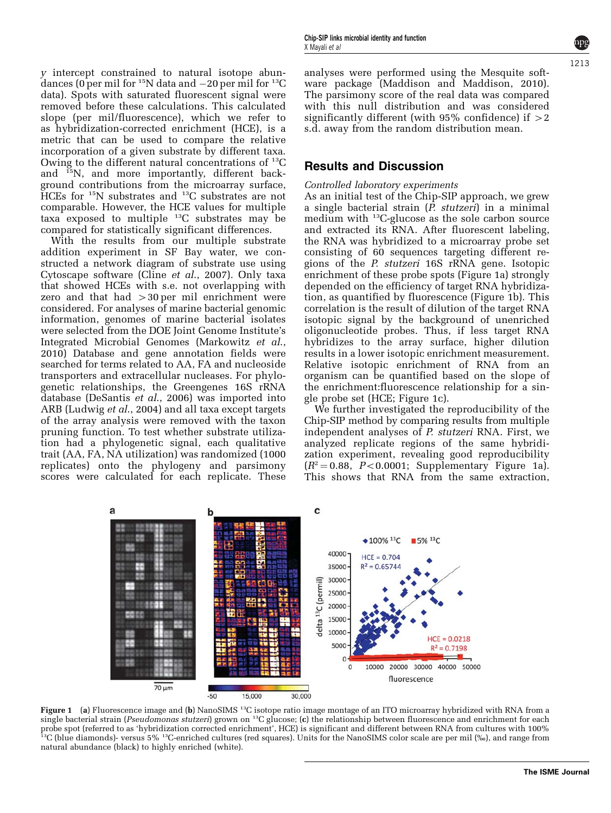y intercept constrained to natural isotope abundances (0 per mil for  $^{15}{\rm N}$  data and  $-20$  per mil for  $^{13}{\rm C}$ data). Spots with saturated fluorescent signal were removed before these calculations. This calculated slope (per mil/fluorescence), which we refer to as hybridization-corrected enrichment (HCE), is a metric that can be used to compare the relative incorporation of a given substrate by different taxa. Owing to the different natural concentrations of 13C and 15N, and more importantly, different background contributions from the microarray surface, HCEs for <sup>15</sup>N substrates and <sup>13</sup>C substrates are not comparable. However, the HCE values for multiple  $\alpha$  exposed to multiple  $^{13}$ C substrates may be compared for statistically significant differences.

With the results from our multiple substrate addition experiment in SF Bay water, we constructed a network diagram of substrate use using Cytoscape software (Cline et al[., 2007](#page-10-0)). Only taxa that showed HCEs with s.e. not overlapping with zero and that had  $>30$  per mil enrichment were considered. For analyses of marine bacterial genomic information, genomes of marine bacterial isolates were selected from the DOE Joint Genome Institute's Integrated Microbial Genomes [\(Markowitz](#page-10-0) et al., [2010\)](#page-10-0) Database and gene annotation fields were searched for terms related to AA, FA and nucleoside transporters and extracellular nucleases. For phylogenetic relationships, the Greengenes 16S rRNA database ([DeSantis](#page-10-0) et al., 2006) was imported into ARB ([Ludwig](#page-10-0) et al., 2004) and all taxa except targets of the array analysis were removed with the taxon pruning function. To test whether substrate utilization had a phylogenetic signal, each qualitative trait (AA, FA, NA utilization) was randomized (1000 replicates) onto the phylogeny and parsimony scores were calculated for each replicate. These analyses were performed using the Mesquite software package [\(Maddison and Maddison, 2010\)](#page-10-0). The parsimony score of the real data was compared with this null distribution and was considered significantly different (with  $95\%$  confidence) if  $>2$ s.d. away from the random distribution mean.

## Results and Discussion

#### Controlled laboratory experiments

As an initial test of the Chip-SIP approach, we grew a single bacterial strain (P. stutzeri) in a minimal medium with <sup>13</sup>C-glucose as the sole carbon source and extracted its RNA. After fluorescent labeling, the RNA was hybridized to a microarray probe set consisting of 60 sequences targeting different regions of the P. stutzeri 16S rRNA gene. Isotopic enrichment of these probe spots (Figure 1a) strongly depended on the efficiency of target RNA hybridization, as quantified by fluorescence (Figure 1b). This correlation is the result of dilution of the target RNA isotopic signal by the background of unenriched oligonucleotide probes. Thus, if less target RNA hybridizes to the array surface, higher dilution results in a lower isotopic enrichment measurement. Relative isotopic enrichment of RNA from an organism can be quantified based on the slope of the enrichment:fluorescence relationship for a single probe set (HCE; Figure 1c).

We further investigated the reproducibility of the Chip-SIP method by comparing results from multiple independent analyses of P. stutzeri RNA. First, we analyzed replicate regions of the same hybridization experiment, revealing good reproducibility  $(R^2=0.88, P<0.0001;$  Supplementary Figure 1a). This shows that RNA from the same extraction,



Figure 1 (a) Fluorescence image and (b) NanoSIMS <sup>13</sup>C isotope ratio image montage of an ITO microarray hybridized with RNA from a single bacterial strain (Pseudomonas stutzeri) grown on <sup>13</sup>C glucose; (c) the relationship between fluorescence and enrichment for each probe spot (referred to as 'hybridization corrected enrichment', HCE) is significant and different between RNA from cultures with 100%<br><sup>13</sup>C (blue diamonds)- versus 5% <sup>13</sup>C-enriched cultures (red squares). Units for the N natural abundance (black) to highly enriched (white).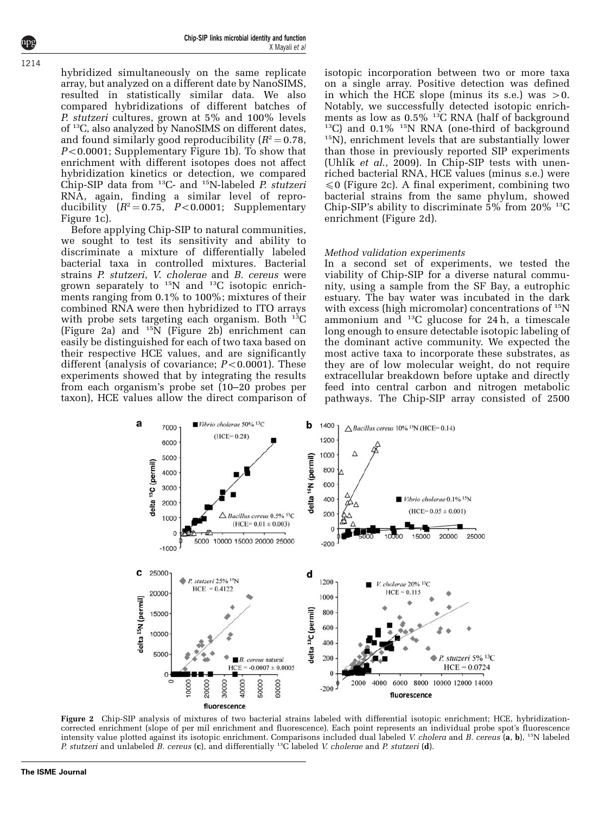Chip-SIP links microbial identity and function X Mayali et al

hybridized simultaneously on the same replicate array, but analyzed on a different date by NanoSIMS, resulted in statistically similar data. We also compared hybridizations of different batches of P. stutzeri cultures, grown at 5% and 100% levels of 13C, also analyzed by NanoSIMS on different dates, and found similarly good reproducibility  $(R^2 = 0.78,$  $P<0.0001$ ; Supplementary Figure 1b). To show that enrichment with different isotopes does not affect hybridization kinetics or detection, we compared Chip-SIP data from  $^{13}$ C- and  $^{15}$ N-labeled *P. stutzeri* RNA, again, finding a similar level of reproducibility  $(R^2 = 0.75, P < 0.0001;$  Supplementary Figure 1c).

Before applying Chip-SIP to natural communities, we sought to test its sensitivity and ability to discriminate a mixture of differentially labeled bacterial taxa in controlled mixtures. Bacterial strains P. stutzeri, V. cholerae and B. cereus were grown separately to  $15N$  and  $13C$  isotopic enrichments ranging from 0.1% to 100%; mixtures of their combined RNA were then hybridized to ITO arrays with probe sets targeting each organism. Both  $^{13}C$ (Figure 2a) and 15N (Figure 2b) enrichment can easily be distinguished for each of two taxa based on their respective HCE values, and are significantly different (analysis of covariance;  $P < 0.0001$ ). These experiments showed that by integrating the results from each organism's probe set (10–20 probes per taxon), HCE values allow the direct comparison of isotopic incorporation between two or more taxa on a single array. Positive detection was defined in which the HCE slope (minus its s.e.) was  $>0$ . Notably, we successfully detected isotopic enrichments as low as  $0.5\%$  <sup>13</sup>C RNA (half of background <sup>13</sup>C) and  $0.1\%$  <sup>15</sup>N RNA (one-third of background <sup>15</sup>N), enrichment levels that are substantially lower than those in previously reported SIP experiments (Uhlík et al[., 2009](#page-11-0)). In Chip-SIP tests with unenriched bacterial RNA, HCE values (minus s.e.) were  $\leq 0$  (Figure 2c). A final experiment, combining two bacterial strains from the same phylum, showed Chip-SIP's ability to discriminate  $5\%$  from  $20\%$ <sup>13</sup>C enrichment (Figure 2d).

#### Method validation experiments

In a second set of experiments, we tested the viability of Chip-SIP for a diverse natural community, using a sample from the SF Bay, a eutrophic estuary. The bay water was incubated in the dark with excess (high micromolar) concentrations of  $^{15}N$ ammonium and  $^{13}C$  glucose for 24 h, a timescale long enough to ensure detectable isotopic labeling of the dominant active community. We expected the most active taxa to incorporate these substrates, as they are of low molecular weight, do not require extracellular breakdown before uptake and directly feed into central carbon and nitrogen metabolic pathways. The Chip-SIP array consisted of 2500



Figure 2 Chip-SIP analysis of mixtures of two bacterial strains labeled with differential isotopic enrichment; HCE, hybridizationcorrected enrichment (slope of per mil enrichment and fluorescence). Each point represents an individual probe spot's fluorescence intensity value plotted against its isotopic enrichment. Comparisons included dual labeled V. cholera and B. cereus (a, b), <sup>15</sup>N labeled P. stutzeri and unlabeled B. cereus (c), and differentially  ${}^{13}$ C labeled V. cholerae and P. stutzeri (d).

1214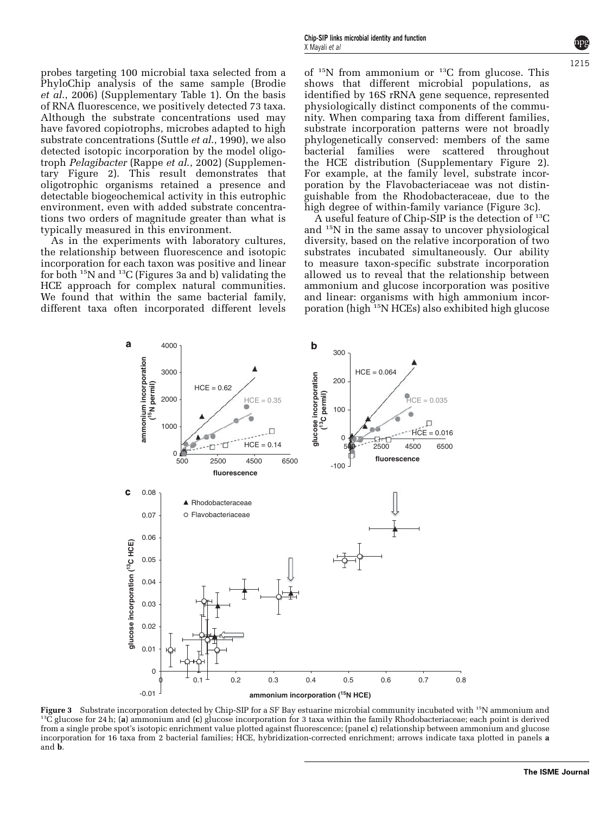<span id="page-5-0"></span>probes targeting 100 microbial taxa selected from a PhyloChip analysis of the same sample [\(Brodie](#page-10-0) et al[., 2006\)](#page-10-0) (Supplementary Table 1). On the basis of RNA fluorescence, we positively detected 73 taxa. Although the substrate concentrations used may have favored copiotrophs, microbes adapted to high substrate concentrations (Suttle et al[., 1990](#page-11-0)), we also detected isotopic incorporation by the model oligotroph Pelagibacter (Rappe et al[., 2002\)](#page-10-0) (Supplementary Figure 2). This result demonstrates that oligotrophic organisms retained a presence and detectable biogeochemical activity in this eutrophic environment, even with added substrate concentrations two orders of magnitude greater than what is typically measured in this environment.

As in the experiments with laboratory cultures, the relationship between fluorescence and isotopic incorporation for each taxon was positive and linear for both 15N and 13C (Figures 3a and b) validating the HCE approach for complex natural communities. We found that within the same bacterial family, different taxa often incorporated different levels

of  $15N$  from ammonium or  $13C$  from glucose. This shows that different microbial populations, as identified by 16S rRNA gene sequence, represented physiologically distinct components of the community. When comparing taxa from different families, substrate incorporation patterns were not broadly phylogenetically conserved: members of the same bacterial families were scattered throughout the HCE distribution (Supplementary Figure 2). For example, at the family level, substrate incorporation by the Flavobacteriaceae was not distinguishable from the Rhodobacteraceae, due to the high degree of within-family variance (Figure 3c).

A useful feature of Chip-SIP is the detection of  $^{13}C$ and 15N in the same assay to uncover physiological diversity, based on the relative incorporation of two substrates incubated simultaneously. Our ability to measure taxon-specific substrate incorporation allowed us to reveal that the relationship between ammonium and glucose incorporation was positive and linear: organisms with high ammonium incorporation (high 15N HCEs) also exhibited high glucose



**Figure 3** Substrate incorporation detected by Chip-SIP for a SF Bay estuarine microbial community incubated with <sup>15</sup>N ammonium and  $^{13}$ C glucose for 24 h; (a) ammonium and (c) glucose incorporation for 3 taxa within t from a single probe spot's isotopic enrichment value plotted against fluorescence; (panel c) relationship between ammonium and glucose incorporation for 16 taxa from 2 bacterial families; HCE, hybridization-corrected enrichment; arrows indicate taxa plotted in panels a and b.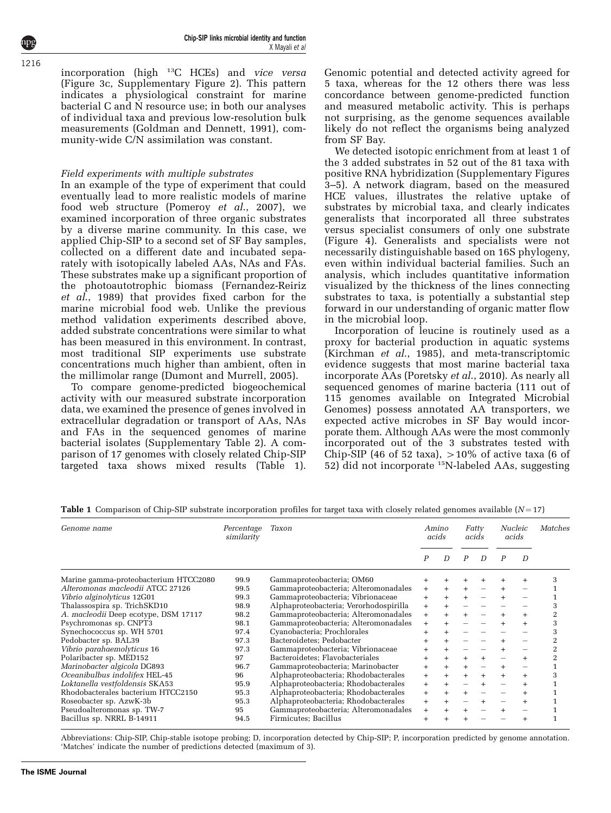incorporation (high  $^{13}C$  HCEs) and vice versa ([Figure 3c](#page-5-0), Supplementary Figure 2). This pattern indicates a physiological constraint for marine bacterial C and N resource use; in both our analyses of individual taxa and previous low-resolution bulk measurements ([Goldman and Dennett, 1991\)](#page-10-0), community-wide C/N assimilation was constant.

## Field experiments with multiple substrates

In an example of the type of experiment that could eventually lead to more realistic models of marine food web structure [\(Pomeroy](#page-10-0) et al., 2007), we examined incorporation of three organic substrates by a diverse marine community. In this case, we applied Chip-SIP to a second set of SF Bay samples, collected on a different date and incubated separately with isotopically labeled AAs, NAs and FAs. These substrates make up a significant proportion of the photoautotrophic biomass ([Fernandez-Reiriz](#page-10-0) et al[., 1989](#page-10-0)) that provides fixed carbon for the marine microbial food web. Unlike the previous method validation experiments described above, added substrate concentrations were similar to what has been measured in this environment. In contrast, most traditional SIP experiments use substrate concentrations much higher than ambient, often in the millimolar range ([Dumont and Murrell, 2005\)](#page-10-0).

To compare genome-predicted biogeochemical activity with our measured substrate incorporation data, we examined the presence of genes involved in extracellular degradation or transport of AAs, NAs and FAs in the sequenced genomes of marine bacterial isolates (Supplementary Table 2). A comparison of 17 genomes with closely related Chip-SIP targeted taxa shows mixed results (Table 1).

Genomic potential and detected activity agreed for 5 taxa, whereas for the 12 others there was less concordance between genome-predicted function and measured metabolic activity. This is perhaps not surprising, as the genome sequences available likely do not reflect the organisms being analyzed from SF Bay.

We detected isotopic enrichment from at least 1 of the 3 added substrates in 52 out of the 81 taxa with positive RNA hybridization (Supplementary Figures 3–5). A network diagram, based on the measured HCE values, illustrates the relative uptake of substrates by microbial taxa, and clearly indicates generalists that incorporated all three substrates versus specialist consumers of only one substrate ([Figure 4\)](#page-7-0). Generalists and specialists were not necessarily distinguishable based on 16S phylogeny, even within individual bacterial families. Such an analysis, which includes quantitative information visualized by the thickness of the lines connecting substrates to taxa, is potentially a substantial step forward in our understanding of organic matter flow in the microbial loop.

Incorporation of leucine is routinely used as a proxy for bacterial production in aquatic systems ([Kirchman](#page-10-0) et al., 1985), and meta-transcriptomic evidence suggests that most marine bacterial taxa incorporate AAs ([Poretsky](#page-10-0) et al., 2010). As nearly all sequenced genomes of marine bacteria (111 out of 115 genomes available on Integrated Microbial Genomes) possess annotated AA transporters, we expected active microbes in SF Bay would incorporate them. Although AAs were the most commonly incorporated out of the 3 substrates tested with Chip-SIP (46 of 52 taxa),  $>10\%$  of active taxa (6 of 52) did not incorporate 15N-labeled AAs, suggesting

| Genome name                           | Percentage<br>similarity | Taxon                                  | Amino<br>acids |     | Fatty<br>acids |   | <i>Nucleic</i><br>acids |   | Matches        |
|---------------------------------------|--------------------------|----------------------------------------|----------------|-----|----------------|---|-------------------------|---|----------------|
|                                       |                          |                                        | P              | D   | P              | D | $\boldsymbol{P}$        | D |                |
| Marine gamma-proteobacterium HTCC2080 | 99.9                     | Gammaproteobacteria; OM60              |                |     |                |   |                         |   | 3              |
| Alteromonas macleodii ATCC 27126      | 99.5                     | Gammaproteobacteria; Alteromonadales   | $+$            | $+$ | $+$            |   | $+$                     |   |                |
| Vibrio alginolyticus 12G01            | 99.3                     | Gammaproteobacteria; Vibrionaceae      | $+$            |     |                |   |                         |   |                |
| Thalassospira sp. TrichSKD10          | 98.9                     | Alphaproteobacteria; Verorhodospirilla | $+$            |     |                |   |                         |   | 3              |
| A. macleodii Deep ecotype, DSM 17117  | 98.2                     | Gammaproteobacteria; Alteromonadales   | $+$            |     |                |   |                         |   | 2              |
| Psychromonas sp. CNPT3                | 98.1                     | Gammaproteobacteria; Alteromonadales   | $+$            |     |                |   |                         |   | 3              |
| Synechococcus sp. WH 5701             | 97.4                     | Cyanobacteria; Prochlorales            |                |     |                |   |                         |   | 3              |
| Pedobacter sp. BAL39                  | 97.3                     | Bacteroidetes; Pedobacter              | $+$            |     |                |   |                         |   | $\overline{2}$ |
| Vibrio parahaemolyticus 16            | 97.3                     | Gammaproteobacteria: Vibrionaceae      |                | $+$ |                |   |                         |   | 2              |
| Polaribacter sp. MED152               | 97                       | Bacteroidetes; Flavobacteriales        | $+$            | $+$ |                |   |                         |   | 2              |
| Marinobacter algicola DG893           | 96.7                     | Gammaproteobacteria; Marinobacter      | $+$            | $+$ | $+$            |   | $+$                     |   |                |
| Oceanibulbus indolifex HEL-45         | 96                       | Alphaproteobacteria; Rhodobacterales   | $+$            |     |                |   |                         |   | 3              |
| Loktanella vestfoldensis SKA53        | 95.9                     | Alphaproteobacteria; Rhodobacterales   | $+$            |     |                |   |                         |   |                |
| Rhodobacterales bacterium HTCC2150    | 95.3                     | Alphaproteobacteria; Rhodobacterales   | $+$            |     |                |   |                         |   |                |
| Roseobacter sp. AzwK-3b               | 95.3                     | Alphaproteobacteria; Rhodobacterales   | $+$            | $+$ |                |   |                         |   |                |
| Pseudoalteromonas sp. TW-7            | 95                       | Gammaproteobacteria; Alteromonadales   | $+$            |     |                |   |                         |   |                |
| Bacillus sp. NRRL B-14911             | 94.5                     | Firmicutes; Bacillus                   |                |     |                |   |                         |   |                |

**Table 1** Comparison of Chip-SIP substrate incorporation profiles for target taxa with closely related genomes available  $(N=17)$ 

Abbreviations: Chip-SIP, Chip-stable isotope probing; D, incorporation detected by Chip-SIP; P, incorporation predicted by genome annotation. 'Matches' indicate the number of predictions detected (maximum of 3).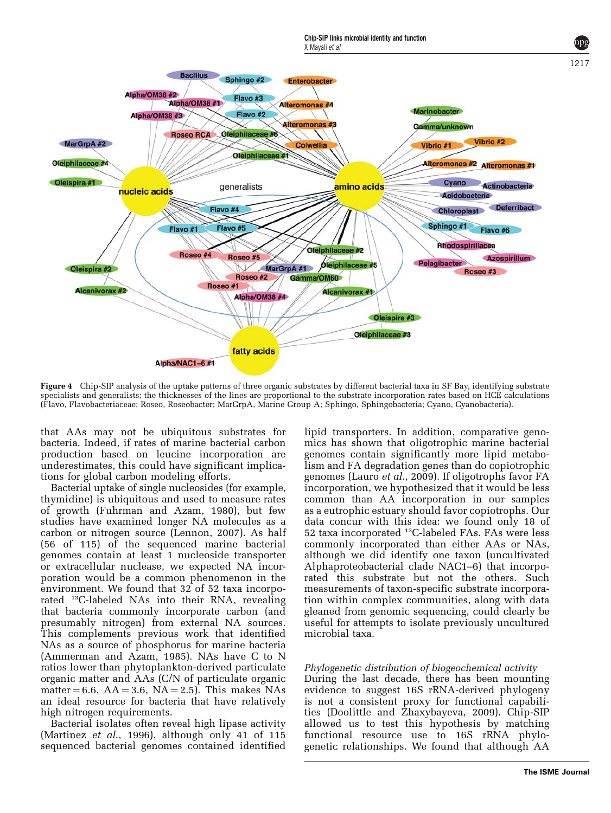

<span id="page-7-0"></span>

Chip-SIP links microbial identity and function

Figure 4 Chip-SIP analysis of the uptake patterns of three organic substrates by different bacterial taxa in SF Bay, identifying substrate specialists and generalists; the thicknesses of the lines are proportional to the substrate incorporation rates based on HCE calculations (Flavo, Flavobacteriaceae; Roseo, Roseobacter; MarGrpA, Marine Group A; Sphingo, Sphingobacteria; Cyano, Cyanobacteria).

that AAs may not be ubiquitous substrates for bacteria. Indeed, if rates of marine bacterial carbon production based on leucine incorporation are underestimates, this could have significant implications for global carbon modeling efforts.

Bacterial uptake of single nucleosides (for example, thymidine) is ubiquitous and used to measure rates of growth [\(Fuhrman and Azam, 1980\)](#page-10-0), but few studies have examined longer NA molecules as a carbon or nitrogen source [\(Lennon, 2007\)](#page-10-0). As half (56 of 115) of the sequenced marine bacterial genomes contain at least 1 nucleoside transporter or extracellular nuclease, we expected NA incorporation would be a common phenomenon in the environment. We found that 32 of 52 taxa incorporated 13C-labeled NAs into their RNA, revealing that bacteria commonly incorporate carbon (and presumably nitrogen) from external NA sources. This complements previous work that identified NAs as a source of phosphorus for marine bacteria [\(Ammerman and Azam, 1985\)](#page-9-0). NAs have C to N ratios lower than phytoplankton-derived particulate organic matter and AAs (C/N of particulate organic matter  $= 6.6$ ,  $AA = 3.6$ ,  $NA = 2.5$ ). This makes NAs an ideal resource for bacteria that have relatively high nitrogen requirements.

Bacterial isolates often reveal high lipase activity [\(Martinez](#page-10-0) et al., 1996), although only 41 of 115 sequenced bacterial genomes contained identified lipid transporters. In addition, comparative genomics has shown that oligotrophic marine bacterial genomes contain significantly more lipid metabolism and FA degradation genes than do copiotrophic genomes (Lauro et al[., 2009\)](#page-10-0). If oligotrophs favor FA incorporation, we hypothesized that it would be less common than AA incorporation in our samples as a eutrophic estuary should favor copiotrophs. Our data concur with this idea: we found only 18 of 52 taxa incorporated 13C-labeled FAs. FAs were less commonly incorporated than either AAs or NAs, although we did identify one taxon (uncultivated Alphaproteobacterial clade NAC1–6) that incorporated this substrate but not the others. Such measurements of taxon-specific substrate incorporation within complex communities, along with data gleaned from genomic sequencing, could clearly be useful for attempts to isolate previously uncultured microbial taxa.

# Phylogenetic distribution of biogeochemical activity

During the last decade, there has been mounting evidence to suggest 16S rRNA-derived phylogeny is not a consistent proxy for functional capabilities [\(Doolittle and Zhaxybayeva, 2009\)](#page-10-0). Chip-SIP allowed us to test this hypothesis by matching functional resource use to 16S rRNA phylogenetic relationships. We found that although AA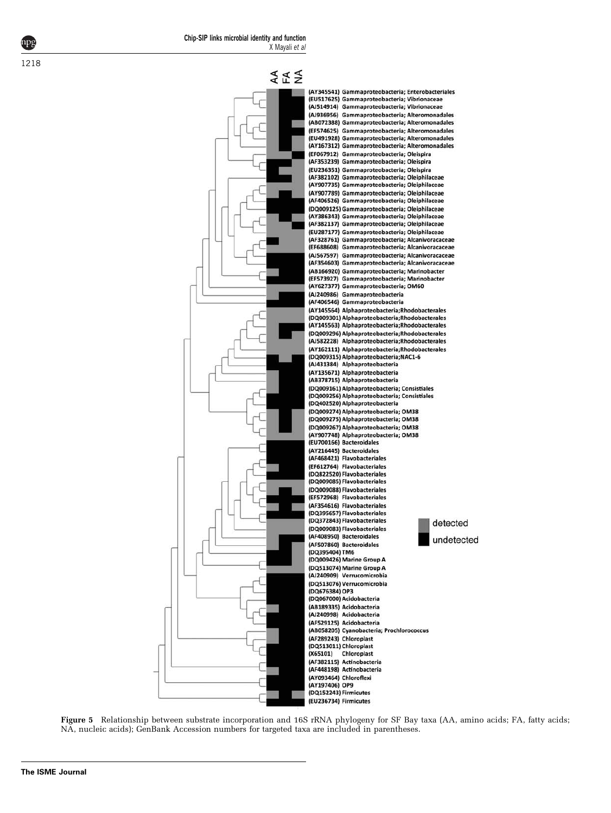<span id="page-8-0"></span>



Figure 5 Relationship between substrate incorporation and 16S rRNA phylogeny for SF Bay taxa (AA, amino acids; FA, fatty acids; NA, nucleic acids); GenBank Accession numbers for targeted taxa are included in parentheses.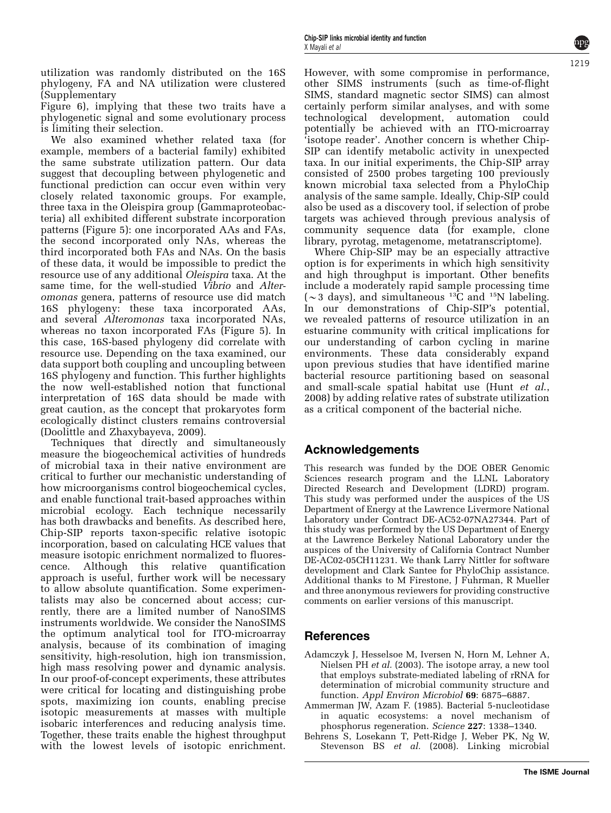<span id="page-9-0"></span>utilization was randomly distributed on the 16S phylogeny, FA and NA utilization were clustered (Supplementary

Figure 6), implying that these two traits have a phylogenetic signal and some evolutionary process is limiting their selection.

We also examined whether related taxa (for example, members of a bacterial family) exhibited the same substrate utilization pattern. Our data suggest that decoupling between phylogenetic and functional prediction can occur even within very closely related taxonomic groups. For example, three taxa in the Oleispira group (Gammaproteobacteria) all exhibited different substrate incorporation patterns ([Figure 5](#page-8-0)): one incorporated AAs and FAs, the second incorporated only NAs, whereas the third incorporated both FAs and NAs. On the basis of these data, it would be impossible to predict the resource use of any additional Oleispira taxa. At the same time, for the well-studied *Vibrio* and *Alter*omonas genera, patterns of resource use did match 16S phylogeny: these taxa incorporated AAs, and several Alteromonas taxa incorporated NAs, whereas no taxon incorporated FAs ([Figure 5](#page-8-0)). In this case, 16S-based phylogeny did correlate with resource use. Depending on the taxa examined, our data support both coupling and uncoupling between 16S phylogeny and function. This further highlights the now well-established notion that functional interpretation of 16S data should be made with great caution, as the concept that prokaryotes form ecologically distinct clusters remains controversial [\(Doolittle and Zhaxybayeva, 2009](#page-10-0)).

Techniques that directly and simultaneously measure the biogeochemical activities of hundreds of microbial taxa in their native environment are critical to further our mechanistic understanding of how microorganisms control biogeochemical cycles, and enable functional trait-based approaches within microbial ecology. Each technique necessarily has both drawbacks and benefits. As described here, Chip-SIP reports taxon-specific relative isotopic incorporation, based on calculating HCE values that measure isotopic enrichment normalized to fluorescence. Although this relative quantification approach is useful, further work will be necessary to allow absolute quantification. Some experimentalists may also be concerned about access; currently, there are a limited number of NanoSIMS instruments worldwide. We consider the NanoSIMS the optimum analytical tool for ITO-microarray analysis, because of its combination of imaging sensitivity, high-resolution, high ion transmission, high mass resolving power and dynamic analysis. In our proof-of-concept experiments, these attributes were critical for locating and distinguishing probe spots, maximizing ion counts, enabling precise isotopic measurements at masses with multiple isobaric interferences and reducing analysis time. Together, these traits enable the highest throughput with the lowest levels of isotopic enrichment.

However, with some compromise in performance, other SIMS instruments (such as time-of-flight SIMS, standard magnetic sector SIMS) can almost certainly perform similar analyses, and with some technological development, automation could potentially be achieved with an ITO-microarray 'isotope reader'. Another concern is whether Chip-SIP can identify metabolic activity in unexpected taxa. In our initial experiments, the Chip-SIP array consisted of 2500 probes targeting 100 previously known microbial taxa selected from a PhyloChip analysis of the same sample. Ideally, Chip-SIP could also be used as a discovery tool, if selection of probe targets was achieved through previous analysis of community sequence data (for example, clone library, pyrotag, metagenome, metatranscriptome).

Where Chip-SIP may be an especially attractive option is for experiments in which high sensitivity and high throughput is important. Other benefits include a moderately rapid sample processing time ( $\sim$ 3 days), and simultaneous <sup>13</sup>C and <sup>15</sup>N labeling. In our demonstrations of Chip-SIP's potential, we revealed patterns of resource utilization in an estuarine community with critical implications for our understanding of carbon cycling in marine environments. These data considerably expand upon previous studies that have identified marine bacterial resource partitioning based on seasonal and small-scale spatial habitat use [\(Hunt](#page-10-0) et al., [2008\)](#page-10-0) by adding relative rates of substrate utilization as a critical component of the bacterial niche.

# Acknowledgements

This research was funded by the DOE OBER Genomic Sciences research program and the LLNL Laboratory Directed Research and Development (LDRD) program. This study was performed under the auspices of the US Department of Energy at the Lawrence Livermore National Laboratory under Contract DE-AC52-07NA27344. Part of this study was performed by the US Department of Energy at the Lawrence Berkeley National Laboratory under the auspices of the University of California Contract Number DE-AC02-05CH11231. We thank Larry Nittler for software development and Clark Santee for PhyloChip assistance. Additional thanks to M Firestone, J Fuhrman, R Mueller and three anonymous reviewers for providing constructive comments on earlier versions of this manuscript.

# References

- Adamczyk J, Hesselsoe M, Iversen N, Horn M, Lehner A, Nielsen PH et al. (2003). The isotope array, a new tool that employs substrate-mediated labeling of rRNA for determination of microbial community structure and function. Appl Environ Microbiol 69: 6875–6887.
- Ammerman JW, Azam F. (1985). Bacterial 5-nucleotidase in aquatic ecosystems: a novel mechanism of phosphorus regeneration. Science 227: 1338–1340.
- Behrens S, Losekann T, Pett-Ridge J, Weber PK, Ng W, Stevenson BS et al. (2008). Linking microbial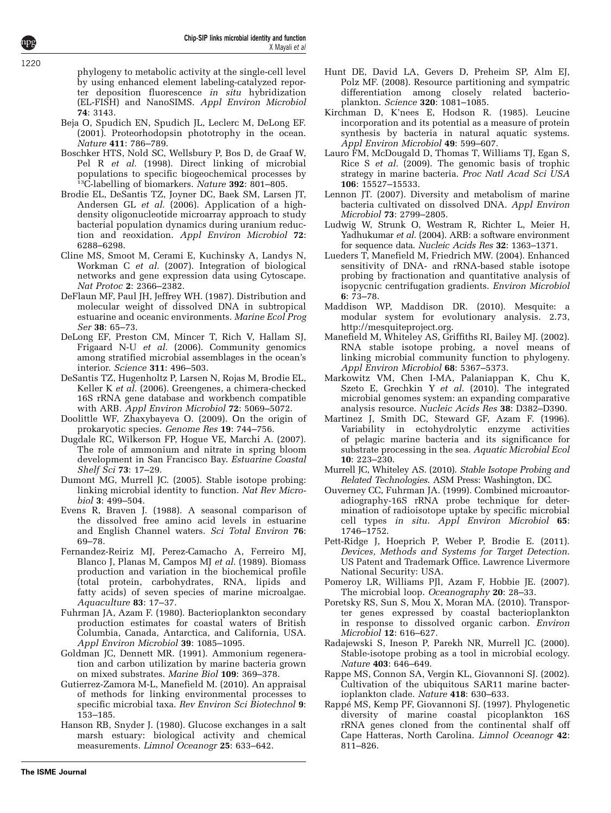phylogeny to metabolic activity at the single-cell level by using enhanced element labeling-catalyzed reporter deposition fluorescence in situ hybridization (EL-FISH) and NanoSIMS. Appl Environ Microbiol 74: 3143.

- Beja O, Spudich EN, Spudich JL, Leclerc M, DeLong EF. (2001). Proteorhodopsin phototrophy in the ocean. Nature 411: 786–789.
- Boschker HTS, Nold SC, Wellsbury P, Bos D, de Graaf W, Pel R *et al.* (1998). Direct linking of microbial populations to specific biogeochemical processes by <sup>13</sup>C-labelling of biomarkers. Nature 392: 801-805.
- Brodie EL, DeSantis TZ, Joyner DC, Baek SM, Larsen JT, Andersen GL et al. (2006). Application of a highdensity oligonucleotide microarray approach to study bacterial population dynamics during uranium reduction and reoxidation. Appl Environ Microbiol 72: 6288–6298.
- Cline MS, Smoot M, Cerami E, Kuchinsky A, Landys N, Workman C et al. (2007). Integration of biological networks and gene expression data using Cytoscape. Nat Protoc 2: 2366–2382.
- DeFlaun MF, Paul JH, Jeffrey WH. (1987). Distribution and molecular weight of dissolved DNA in subtropical estuarine and oceanic environments. Marine Ecol Prog Ser 38: 65–73.
- DeLong EF, Preston CM, Mincer T, Rich V, Hallam SJ, Frigaard N-U et al. (2006). Community genomics among stratified microbial assemblages in the ocean's interior. Science 311: 496–503.
- DeSantis TZ, Hugenholtz P, Larsen N, Rojas M, Brodie EL, Keller K et al. (2006). Greengenes, a chimera-checked 16S rRNA gene database and workbench compatible with ARB. Appl Environ Microbiol 72: 5069–5072.
- Doolittle WF, Zhaxybayeva O. (2009). On the origin of prokaryotic species. Genome Res 19: 744–756.
- Dugdale RC, Wilkerson FP, Hogue VE, Marchi A. (2007). The role of ammonium and nitrate in spring bloom development in San Francisco Bay. Estuarine Coastal Shelf Sci 73: 17–29.
- Dumont MG, Murrell JC. (2005). Stable isotope probing: linking microbial identity to function. Nat Rev Microbiol 3: 499–504.
- Evens R, Braven J. (1988). A seasonal comparison of the dissolved free amino acid levels in estuarine and English Channel waters. Sci Total Environ 76: 69–78.
- Fernandez-Reiriz MJ, Perez-Camacho A, Ferreiro MJ, Blanco J, Planas M, Campos MJ et al. (1989). Biomass production and variation in the biochemical profile (total protein, carbohydrates, RNA, lipids and fatty acids) of seven species of marine microalgae. Aquaculture 83: 17–37.
- Fuhrman JA, Azam F. (1980). Bacterioplankton secondary production estimates for coastal waters of British Columbia, Canada, Antarctica, and California, USA. Appl Environ Microbiol 39: 1085–1095.
- Goldman JC, Dennett MR. (1991). Ammonium regeneration and carbon utilization by marine bacteria grown on mixed substrates. Marine Biol 109: 369–378.
- Gutierrez-Zamora M-L, Manefield M. (2010). An appraisal of methods for linking environmental processes to specific microbial taxa. Rev Environ Sci Biotechnol 9: 153–185.
- Hanson RB, Snyder J. (1980). Glucose exchanges in a salt marsh estuary: biological activity and chemical measurements. Limnol Oceanogr 25: 633–642.
- Hunt DE, David LA, Gevers D, Preheim SP, Alm EJ, Polz MF. (2008). Resource partitioning and sympatric differentiation among closely related bacterioplankton. Science 320: 1081–1085.
- Kirchman D, K'nees E, Hodson R. (1985). Leucine incorporation and its potential as a measure of protein synthesis by bacteria in natural aquatic systems. Appl Environ Microbiol 49: 599–607.
- Lauro FM, McDougald D, Thomas T, Williams TJ, Egan S, Rice S et al. (2009). The genomic basis of trophic strategy in marine bacteria. Proc Natl Acad Sci USA 106: 15527–15533.
- Lennon JT. (2007). Diversity and metabolism of marine bacteria cultivated on dissolved DNA. Appl Environ Microbiol 73: 2799–2805.
- Ludwig W, Strunk O, Westram R, Richter L, Meier H, Yadhukumar et al. (2004). ARB: a software environment for sequence data. Nucleic Acids Res 32: 1363–1371.
- Lueders T, Manefield M, Friedrich MW. (2004). Enhanced sensitivity of DNA- and rRNA-based stable isotope probing by fractionation and quantitative analysis of isopycnic centrifugation gradients. Environ Microbiol 6: 73–78.
- Maddison WP, Maddison DR. (2010). Mesquite: a modular system for evolutionary analysis. 2.73, http://mesquiteproject.org.
- Manefield M, Whiteley AS, Griffiths RI, Bailey MJ. (2002). RNA stable isotope probing, a novel means of linking microbial community function to phylogeny. Appl Environ Microbiol 68: 5367–5373.
- Markowitz VM, Chen I-MA, Palaniappan K, Chu K, Szeto E, Grechkin Y et al. (2010). The integrated microbial genomes system: an expanding comparative analysis resource. Nucleic Acids Res 38: D382–D390.
- Martinez J, Smith DC, Steward GF, Azam F. (1996). Variability in ectohydrolytic enzyme activities of pelagic marine bacteria and its significance for substrate processing in the sea. Aquatic Microbial Ecol 10: 223–230.
- Murrell JC, Whiteley AS. (2010). Stable Isotope Probing and Related Technologies. ASM Press: Washington, DC.
- Ouverney CC, Fuhrman JA. (1999). Combined microautoradiography-16S rRNA probe technique for determination of radioisotope uptake by specific microbial cell types in situ. Appl Environ Microbiol 65: 1746–1752.
- Pett-Ridge J, Hoeprich P, Weber P, Brodie E. (2011). Devices, Methods and Systems for Target Detection. US Patent and Trademark Office. Lawrence Livermore National Security: USA.
- Pomeroy LR, Williams PJl, Azam F, Hobbie JE. (2007). The microbial loop. Oceanography 20: 28-33.
- Poretsky RS, Sun S, Mou X, Moran MA. (2010). Transporter genes expressed by coastal bacterioplankton in response to dissolved organic carbon. Environ Microbiol **12**: 616-627
- Radajewski S, Ineson P, Parekh NR, Murrell JC. (2000). Stable-isotope probing as a tool in microbial ecology. Nature 403: 646–649.
- Rappe MS, Connon SA, Vergin KL, Giovannoni SJ. (2002). Cultivation of the ubiquitous SAR11 marine bacterioplankton clade. Nature 418: 630–633.
- Rappe´ MS, Kemp PF, Giovannoni SJ. (1997). Phylogenetic diversity of marine coastal picoplankton 16S rRNA genes cloned from the continental shalf off Cape Hatteras, North Carolina. Limnol Oceanogr 42: 811–826.

# <span id="page-10-0"></span>1220